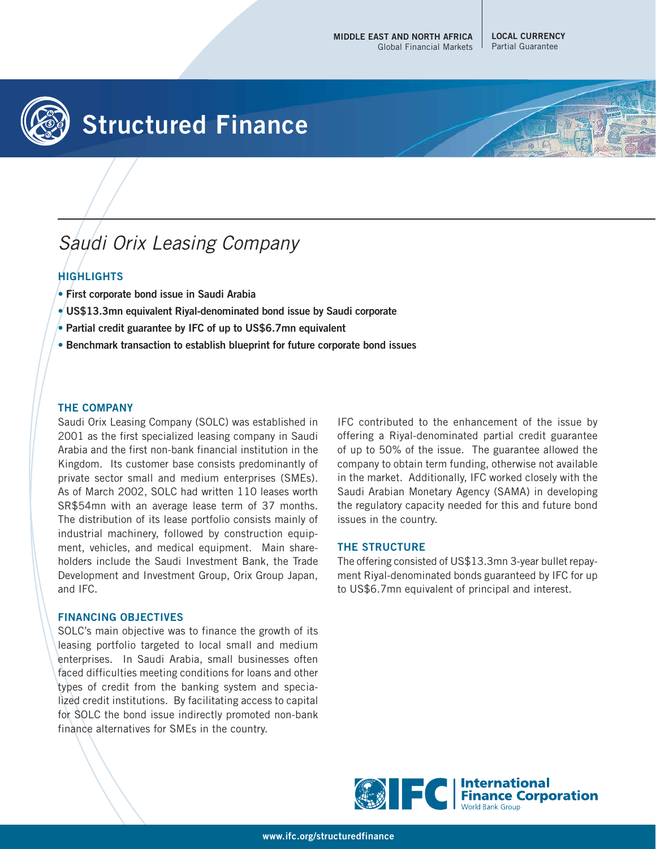**LOCAL CURRENCY** Partial Guarantee



# **Structured Finance**

## Saudi Orix Leasing Company

### **HIGHLIGHTS**

- **First corporate bond issue in Saudi Arabia**
- **US\$13.3mn equivalent Riyal-denominated bond issue by Saudi corporate**
- **Partial credit guarantee by IFC of up to US\$6.7mn equivalent**
- **Benchmark transaction to establish blueprint for future corporate bond issues**

#### **THE COMPANY**

Saudi Orix Leasing Company (SOLC) was established in 2001 as the first specialized leasing company in Saudi Arabia and the first non-bank financial institution in the Kingdom. Its customer base consists predominantly of private sector small and medium enterprises (SMEs). As of March 2002, SOLC had written 110 leases worth SR\$54mn with an average lease term of 37 months. The distribution of its lease portfolio consists mainly of industrial machinery, followed by construction equipment, vehicles, and medical equipment. Main shareholders include the Saudi Investment Bank, the Trade Development and Investment Group, Orix Group Japan, and IFC.

#### **FINANCING OBJECTIVES**

SOLC's main objective was to finance the growth of its leasing portfolio targeted to local small and medium enterprises. In Saudi Arabia, small businesses often faced difficulties meeting conditions for loans and other types of credit from the banking system and specialized credit institutions. By facilitating access to capital for SOLC the bond issue indirectly promoted non-bank finance alternatives for SMEs in the country.

IFC contributed to the enhancement of the issue by offering a Riyal-denominated partial credit guarantee of up to 50% of the issue. The guarantee allowed the company to obtain term funding, otherwise not available in the market. Additionally, IFC worked closely with the Saudi Arabian Monetary Agency (SAMA) in developing the regulatory capacity needed for this and future bond issues in the country.

#### **THE STRUCTURE**

The offering consisted of US\$13.3mn 3-year bullet repayment Riyal-denominated bonds guaranteed by IFC for up to US\$6.7mn equivalent of principal and interest.